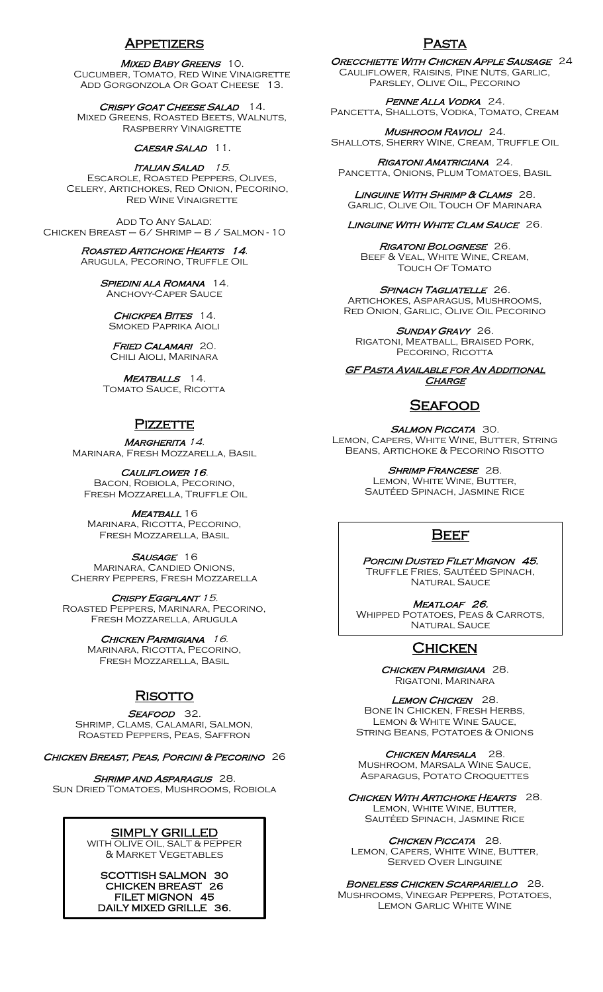## Appetizers

#### MIXED BABY GREENS 10.

Cucumber, Tomato, Red Wine Vinaigrette ADD GORGONZOLA OR GOAT CHEESE 13.

CRISPY GOAT CHEESE SALAD 14. Mixed Greens, Roasted Beets, Walnuts, Raspberry Vinaigrette

#### CAESAR SALAD 11.

ITALIAN SALAD 15. Escarole, Roasted Peppers, Olives, Celery, Artichokes, Red Onion, Pecorino, Red Wine Vinaigrette

Add To Any Salad: Chicken Breast – 6/ Shrimp – 8 / Salmon - 10

#### Roasted Artichoke Hearts 14. Arugula, Pecorino, Truffle Oil

SPIEDINI ALA ROMANA 14.

Anchovy-Caper Sauce

CHICKPEA BITES 14. Smoked Paprika Aioli

FRIED CALAMARI 20. Chili Aioli, Marinara

MEATBALLS 14. TOMATO SAUCE, RICOTTA

## **PIZZETTE**

MARGHERITA 14. Marinara, Fresh Mozzarella, Basil

### CAULIFLOWER 16.

Bacon, Robiola, Pecorino, Fresh Mozzarella, Truffle Oil

MEATBALL 16 Marinara, Ricotta, Pecorino, Fresh Mozzarella, Basil

SAUSAGE 16 Marinara, Candied Onions, Cherry Peppers, Fresh Mozzarella

CRISPY EGGPLANT 15. Roasted Peppers, Marinara, Pecorino, Fresh Mozzarella, Arugula

> CHICKEN PARMIGIANA 16. Marinara, Ricotta, Pecorino, Fresh Mozzarella, Basil

# **RISOTTO**

## SEAFOOD 32.

Shrimp, Clams, Calamari, Salmon, Roasted Peppers, Peas, Saffron

CHICKEN BREAST, PEAS, PORCINI & PECORINO 26

SHRIMP AND ASPARAGUS 28. Sun Dried Tomatoes, Mushrooms, Robiola

# SIMPLY GRILLED

WITH OLIVE OIL, SALT & PEPPER & Market Vegetables

SCOTTISH SALMON 30 CHICKEN BREAST 26 FILET MIGNON 45 DAILY MIXED GRILLE 36. í

## Pasta

Orecchiette With Chicken Apple Sausage 24 Cauliflower, Raisins, Pine Nuts, Garlic, Parsley, Olive Oil, Pecorino

Penne Alla Vodka 24. PANCETTA, SHALLOTS, VODKA, TOMATO, CREAM

Mushroom Ravioli 24. SHALLOTS, SHERRY WINE, CREAM, TRUFFLE OIL

Rigatoni Amatriciana 24. PANCETTA, ONIONS, PLUM TOMATOES, BASIL

LINGUINE WITH SHRIMP & CLAMS 28. Garlic, Olive Oil Touch Of Marinara

### LINGUINE WITH WHITE CLAM SAUCE 26.

Rigatoni Bolognese 26. Beef & Veal, White Wine, Cream, TOUCH OF TOMATO

SPINACH TAGLIATELLE 26. Artichokes, Asparagus, Mushrooms, Red Onion, Garlic, Olive Oil Pecorino

SUNDAY GRAVY 26. Rigatoni, Meatball, Braised Pork, PECORINO, RICOTTA

**GF PASTA AVAILABLE FOR AN ADDITIONAL CHARGE** 

# Seafood

SALMON PICCATA 30. Lemon, Capers, White Wine, Butter, String Beans, Artichoke & Pecorino Risotto

> SHRIMP FRANCESE 28. **LEMON, WHITE WINE, BUTTER**

Sautéed Spinach, Jasmine Rice

# **BEEF**

PORCINI DUSTED FILET MIGNON 45. Truffle Fries, Sautéed Spinach, **NATURAL SAUCE** 

MEATLOAF 26. Whipped Potatoes, Peas & Carrots, NATURAL SAUCE

# **CHICKEN**

CHICKEN PARMIGIANA 28. Rigatoni, Marinara

LEMON CHICKEN 28. Bone In Chicken, Fresh Herbs, Lemon & White Wine Sauce, String Beans, Potatoes & Onions

CHICKEN MARSALA 28. Mushroom, Marsala Wine Sauce, Asparagus, Potato Croquettes

CHICKEN WITH ARTICHOKE HEARTS 28. **LEMON, WHITE WINE, BUTTER** Sautéed Spinach, Jasmine Rice

CHICKEN PICCATA 28.

Lemon, Capers, White Wine, Butter, Served Over Linguine

### BONELESS CHICKEN SCARPARIELLO 28.

Mushrooms, Vinegar Peppers, Potatoes, Lemon Garlic White Wine